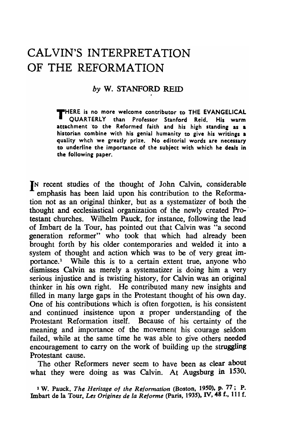# CAL VIN'S INTERPRETATION OF THE REFORMATION

## *by* W. STANFORD REID

THERE is no more welcome contributor to THE EVANGELICAL Professor Stanford Reid. His warm attachment to the Reformed faith and his high standing as a historian combine with his genial humanity to give his writings a quality whch we greatly prize. No editorial words are necessary to underline the importance of the subject with which he deals in the following paper.

IN recent studies of the thought of John Calvin. considerable emphasis has been laid upon his contribution to the Reformation not as an original thinker. but as a systematizer of both the thought and ecclesiastical organization of the newly created Pro-' testant churches. Wilhelm Pauck. for instance. following the lead of Imbart de la Tour, has pointed out that Calvin was "a second generation reformer" who took that which had already been brought forth by his older contemporaries and welded it into a system of thought and action which was to be of very great importance.<sup>1</sup> While this is to a certain extent true, anyone who dismisses Calvin as merely a systematizer is doing him a very serious injustice and is twisting history. for Calvin was an original thinker in his own right. He contributed many new insights and filled in many large gaps in the Protestant thought of his own day. One of his contributions which is often forgotten. is his consistent and continued insistence upon a proper understanding of the Protestant Reformation itself. Because of his certainty of the meaning and importance of the movement his courage seldom failed. while at the same time he was able to give others needed encouragement to carry on the work of building up the struggling Protestant cause.

The other Reformers never seem to have been as clear about what they were doing as was Calvin. At Augsburg in 1530.

1 W. Pauck, *The Heritage of the Reformation* (Boston, 1950). p. 77; P. Imbart de la Tour, *Les Origines de la Reforme* (Paris, 1935). IV. 48 f., 111 f.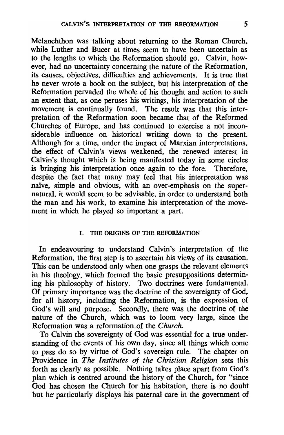Melanchthon was talking about returning to the Roman Church. while Luther and Bucer at times seem to have been uncertain as to the lengths to which the Reformation should go. Calvin. however. had no uncertainty concerning the nature of the Reformation. its causes. objectives. difficulties and achievements. It is true that he never wrote a book on the subject, but his interpretation of the Reformation pervaded the whole of his thought and action to such an extent that. as one peruses his writings. his interpretation of the movement is continually found. The result was that this interpretation of the Reformation soon became that of the Reformed Churches of Europe. and has continued to exercise a not inconsiderable influence on historical writing down to the present. Although for a time. under the impact of Marxian interpretations, the effect of Calvin's views weakened. the renewed interest in Calvin's thought which is being manifested today in some circles is bringing his interpretation once again to the fore. Therefore, despite the fact that many may feel that his interpretation was naive. simple and obvious. with an over-emphasis on the supernatural, it would seem to be advisable. in order to understand both the man and his work, to examine his interpretation of the movement in which he played so important a part.

#### I. THE ORIGINS OF THE REFORMATION

In endeavouring to understand Calvin's interpretation of the Reformation, the first step is to ascertain his views of its causation. This can be understood only when one grasps the relevant elements in his theology. which formed the basic presuppositions determining his philosophy of history. Two doctrines were fundamental. Of primary importance was the doctrine of the sovereignty of God. for all history, including the Reformation, is the expression of God's will and purpose. Secondly. there was the doctrine of the nature of the Church. which was to loom very large, since the Reformation was a reformation. of the *Church.* 

To Calvin the sovereignty of God was essential for a true understanding of the events of his own day, since all things which come to pass do so by virtue of God's sovereign rule. The chapter on Providence in *The Institutes* of *the Christian Religion* sets this forth as clearly as possible. Nothing takes place apart from God's plan which is centred around the history of the Church. for "since God has chosen the Church for his habitation, there is no doubt but he' particularly displays his paternal care in the government of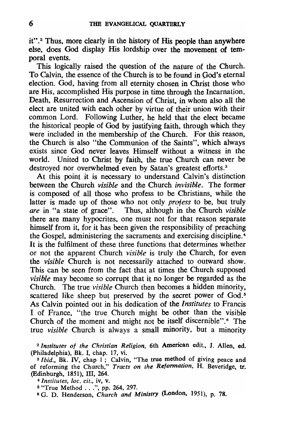it".<sup>2</sup> Thus, more clearly in the history of His people than anywhere else. does God display His lordship over the movement of temporal events.

This logically raised the question of the nature of the Church. To Calvin. the essence of the Church is to be found in Ood's eternal election. God. having from all eternity chosen in Christ those who are His. accomplished His purpose in time through the Incarnation, Death. Resurrection and Ascension of Christ. in whom also all the elect are united with each other by virtue of their union with their common Lord. Following Luther. he held that the elect became the historical people of God by justifying faith. through which they were included in the membership of the Church. For this reason. the Church is also "the Communion of the Saints". which always exists since God never leaves Himself without a witness in the world. United to Christ by faith. the true Church can never be destroyed nor overwhelmed even by Satan's greatest efforts.<sup>3</sup>

At this point it is necessary to understand Calvin's distinction between the Church *visible* and the Church *invisible.* The former is composed of all those who profess to be Christians. while the latter is made up of those who not only *profess* to be, but truly *are* in "a state of grace". Thus. although in the Church *visible*  there are many hypocrites. one must not for that reason separate himself from it, for it has been given the responsibility of preaching the Gospel. administering the sacraments and exercising discipline. <sup>4</sup> It is the fulfilment of these three functions that determines whether or not the apparent Church *visible* is truly the Church. for even the *visible* Church is not necessarily attached to outward show. This can be seen from the fact that at times the Church supposed *visible* may become so corrupt that it no longer be regarded as the Church. The true *visible* Church then becomes a hidden minority, scattered like sheep but preserved by the secret power of God.<sup>5</sup> As Calvin pointed out in his dedication of the *Institutes* to Francis I of France. "the true Church might be other than the visible Church of the moment and might not be itself discernible".6 The true *visible* Church is always a small minority. but a minority

<sup>2</sup>*Institutes of the Christian Religion,* 6th American edit., J. AlIen. ed. (Philadelphia), Bk. I, chap. 17, vi.

<sup>3</sup> Ibid., Bk. IV, chap 1; Calvin, "The true method of giving peace and of reforming the Church," *Tracts on the Reformation,* H. Beveridge, tr. (Edinburgh, 1851), Ill, 264.

 $4$  *Institutes, loc. cit., iv, v.* 

5 "True Method ... ", pp. 264, 297. 6 G. D. Henderson, *Church and Ministry* (London, 1951), p. 78.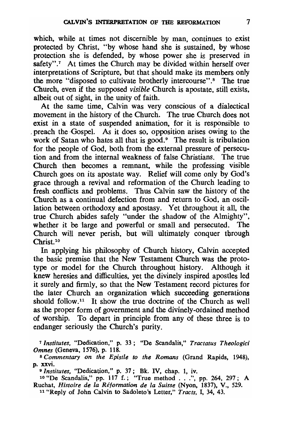which, while at times not discernible by man, continues to exist protected by Christ, "by whose hand she is sustained, by whose protection she is defended, by whose power she is preserved in safety".<sup>7</sup> At times the Church may be divided within herself over interpretations of Scripture, but that should make its members only the more "disposed to cultivate brotherly intercourse".<sup>8</sup> The true Church, even if the supposed *visible* Church is apostate, still exists, albeit out of sight, in the unity of faith.

At the same time, Calvin was very conscious of a dialectical movement in the history of the Church. The true Church does not exist in a state of suspended animation, for it is responsible to preach the Gospel. As it does so, opposition arises owing to the work of Satan who hates all that is good.<sup>9</sup> The result is tribulation for the people of God, both from the external pressure of persecution and from the internal weakness of false Christians. The true Church then becomes a remnant, while the professing visible Church goes on its apostate way. Relief will come only by God's grace through a revival and reformation of the Church leading to fresh conflicts and problems. Thus Calvin saw the history of the Church as a continual defection from and return to God, an oscillation between orthodoxy and apostasy. Yet throughout it all, the true Church abides safely "under the shadow of the Almighty", whether it be large and powerful or small and persecuted. The Church will never perish, but will ultimately conquer through Christ.<sup>10</sup>

In applying his philosophy of Church history. Calvin accepted the basic premise that the New Testament Church was the prototype or model for the Church throughout history. Although it knew heresies and difficulties. yet the divinely inspired apostles led it surely and firmly. so that the New Testament record pictures for the later Church an organization which succeeding generations should follow.<sup>11</sup> It show the true doctrine of the Church as well as the proper form of government and the divinely-ordained method of worship. To depart in principle from any of these three is to endanger seriously the Church's purity.

<sup>7</sup>*Institutes,* "Dedication," p. 33; "De Scandalis," *Tractatus Theologici Omnes* (Geneva, 1576), p. 118.

<sup>S</sup>*Commentary on the Epistle to the Romans* (Grand Rapids, 1948), p. xxvi.

*9lnstitutes,* "Dedication," p. 37; Bk. IV, chap. 1, iv. 10 "De Scandalis," pp. 117 f.; "True method ... ", pp. 264, 297; A Ruchat, *Histoire de la Reformation de la Suisse* (Nyon, 1837), V., 529.

11 "Reply of John Calvin to Sadoleto's Letter," *Tracts,* I, 34, 43.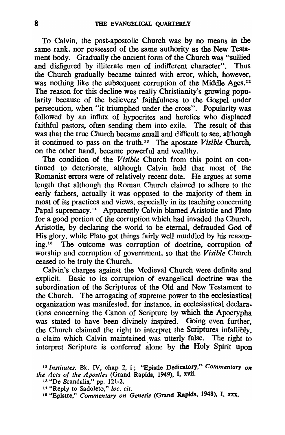To Calvin, the post-apostolic Church was by no means in the same rank, nor possessed of the same authority as the New Testament body. Gradually the ancient form of the Church was "sullied and disfigured by illiterate men of indifferent character". Thus the Church gradually became tainted with error, which, however, was nothing like the subsequent corruption of the Middle Ages.<sup>12</sup> The reason for this decline was really Christianity's growing popularity because of the believers' faithfulness to the Gospel- under persecution, when "it triumphed under the cross". Popularity was followed by an influx of hypocrites and heretics who displaced faithful pastors, often sending them into exile. The result of this was that the true Church became small and difficult to see, although it continued to pass on the truth.13 The apostate *Visible* Church. on the other hand, became powerful and wealthy.

The condition of the *Visible* Church from this point on continued to deteriorate, although Calvin held that most of the Romanist errors were of relatively recent date. He argues at some length that although the Roman Church claimed to adhere to the early fathers, actually it was opposed to the majority of them in most of its practices and views, especially in its teaching concerning Papal supremacy.<sup>14</sup> Apparently Calvin blamed Aristotle and Plato for a good portion of the corruption which had invaded the Church. Aristotle, by declaring the world to be eternal, defrauded God of His glory, while Plato got things fairly well muddled by his reasoning. 15 The outcome was corruption of doctrine, corruption of worship and corruption of government, so that the *Visible* Church ceased to be truly the Church.

Calvin's charges against the Medieval Church were definite and explicit. Basic to its corruption of evangelical doctrine was the subordination of the Scriptures of the Old and New Testament to the Church. The arrogating of supreme power to the ecclesiastical organization was manifested, for instance, in ecclesiastical declarations concerning the Canon of Scripture by which the Apocrypha was stated to have been divinely inspired. Going even further, the Church claimed the right to interpret the Scriptures infallibly. a claim which Calvin maintained was utterly false. The right to interpret Scripture is conferred alone by the Holy Spirit upon

<sup>12</sup>*Institutes,* Bk. IV, chap 2, i; "Epistle Dedicatory," *Commentary on the Acts of the Apostles* (Grand Rapids, 1949), I, xvii.

<sup>13 &</sup>quot;De Scandalis," pp. 121-2.

<sup>&</sup>lt;sup>14</sup> "Reply to Sadoleto," *loc. cit. infinity on Genesis* (Grand Rapids, 1948), I, xxx.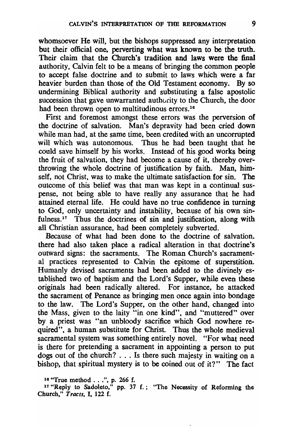whomsoever He will, but the bishops suppressed any interpretation but their official one, perverting what was known to be the truth. Their claim that the Church's tradition and laws were the final authority, Calvin felt to be a means of bringing the common people to accept false doctrine and to submit to laws which were a far heavier burden than those of the Old Testament economy. By so undermining Biblical authority and substituting a false apostolic succession that gave unwarranted authority to the Church, the door had been thrown open to multitudinous errors.<sup>16</sup>

First and foremost amongst these errors was the perversion of the doctrine of salvation. Man's depravity had been cried down while man had, at the same time, been credited with an uncorrupted will which was autonomous. Thus he had been taught that he could save himself by his works. Instead of his good works being the fruit of salvation, they had become a cause of it, thereby overthrowing the whole doctrine of justification by faith. Man, himself, not Christ, was to make the ultimate satisfaction for sin. The outcome of this belief was that man was kept in a continual suspense, not being able to have really any assurance that he had attained eternal life. He could have no true confidence in turning to God, only uncertainty and instability, because of his own sinfulness.<sup>17</sup> Thus the doctrines of sin and justification, along with all Christian assurance, had been completely subverted.

Because of what had been done to the doctrine of salvation. there had also taken place a radical alteration in that doctrine's outward signs: the sacraments. The Roman Church's sacramental practices represented to Calvin the epitome of superstition. Humanly devised sacraments had been added to the divinely established two of baptism and the Lord's Supper, while even these originals had been radically altered. For instance, he attacked the sacrament of Penance as bringing men once again into bondage to the law. The Lord's Supper, on the other hand, changed into the Mass, given to the laity "in one kind", and "muttered" over by a priest was "an unbloody sacrifice which God nowhere required", a human substitute for Christ. Thus the whole medieval sacramental system was something entirely novel. "For what need is there for pretending a sacrament in appointing a person to put dogs out of the church? ... Is there such majesty in waiting on a bishop, that spiritual mystery is to be coined out of it?" The fact

<sup>16 &</sup>quot;True method ... ", p. 266 f.

<sup>17 &</sup>quot;Reply to Sadoleto," pp. 37 f.; "The Necessity of Reforming the Church," *Tracts,* I, 122 f.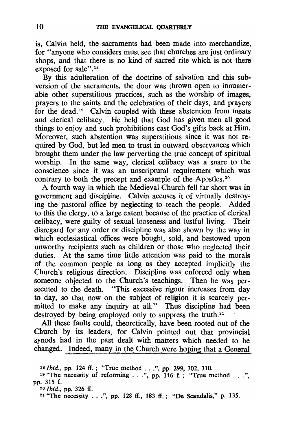is. Calvin held. the sacraments had been made into merchandize. for "anyone who considers must see that churches are just ordinary shops, and that there is no kind of sacred rite which is not there exposed for sale".<sup>18</sup>

By this adulteration of the doctrine of salvation and this subversion of the sacraments. the door was thrown open to innumerable other superstitious practices. such as the worship of images. prayers to the saints and the celebration of their days. and prayers for the dead.<sup>19</sup> Calvin coupled with these abstention from meats and clerical celibacy. He held that God has given men all good things to enjoy and such prohibitions cast God's gifts back at Him. Moreover. such abstention was superstitious since it was not required by God. but led men to trust in outward observances which brought them under the law perverting the true concept of spiritual worship. In the same way. clerical celibacy was a snare to the conscience since it was an unscriptural requirement which was contrary to both the precept and example of the Apostles. 20

A fourth way in which the Medieval Church fell far short was in government and discipline. Calvin accuses it of virtually destroying the pastoral office by neglecting to teach the people. Added to this the clergy. to a large extent because of the practice of clerical celibacy. were guilty of sexual looseness and lustful living. Their disregard for any order or discipline was also shown by the way in which ecclesiastical offices were bought, sold, and bestowed upon unworthy recipients such as children or those who neglected their duties. At the same time little attention was paid to the morals of the common people as long as they accepted implicitly the Church's religious direction. Discipline was enforced only when someone objected to the Church's teachings. Then he was persecuted to the death. "This excessive rigour increases from day to day. so that now on the subject of religion it is scarcely permitted to make any inquiry at all." Thus discipline had been destroyed by being employed only to suppress the truth.<sup>21</sup>

All these faults could. theoretically. have been rooted out of the Church by its leaders. for Calvin pointed out that provincial synods had in the past dealt with matters which needed to be changed. Indeed, many in the Church were hoping that a General

*i Ibid.*, pp. 124 ff.; "True method ...", pp. 299, 302, 310.<br>"The necessity of reforming ...", pp. 116 f.; "True method ....".

<sup>&</sup>lt;sup>19</sup> "The necessity of reforming . . .", pp. 116 f.; "True method . . .", pp. 315 f.

<sup>20</sup>*Ibid.,* pp. 326 If. <sup>21</sup> "The necessity . . .", pp. 128 ff., 183 ff.; "De Scandalis," p. 135.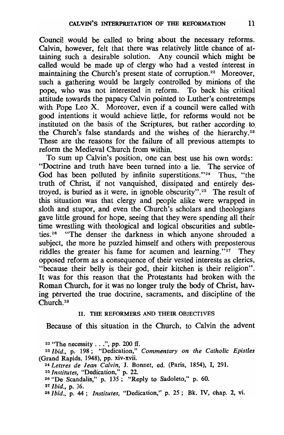Council would be called to bring about the necessary reforms. Calvin, however, felt that there was relatively little chance of attaining such a desirable solution. Any council which might be called would be made up of clergy who had a vested interest in maintaining the Church's present state of corruption.<sup>22</sup> Moreover, such a gathering would be largely controlled by minions of the pope, who was not interested in reform. To back his critical attitude towards the papacy Calvin pointed to Luther's contretemps with Pope Leo X. Moreover, even if a council were called with good intentions it would achieve little, for reforms would not be instituted on the basis of the Scriptures, but rather according to. the Church's false standards and the wishes of the hierarchy.<sup>23</sup> These are the reasons for the failure of all previous attempts to reform the Medieval Church from within.

To sum up Calvin's position. one can best use his own words: "Doctrine and truth have been turned into a lie. The service of God has been polluted by infinite superstitions."<sup>24</sup> Thus, "the truth of Christ, if not vanquished. dissipated and entirely destroyed. is buried as it were, in ignoble obscurity". 25 The result of this situation was that clergy and people alike were wrapped in sloth and stupor, and even the Church's scholars and theologians gave little ground for hope. seeing that they were spending all their time wrestling with theological and logical obscurities and subtleties. 26 "The denser the darkness in which anyone shrouded a subject, the more he puzzled himself and others with preposterous riddles the greater his fame for acumen and learning." $27$  They opposed reform as a consequence of their vested interests as clerics. "because their belly is their god. their kitchen is their religion". It was for this reason that the Protestants had broken with the Roman Church, for it was no longer truly the body of Christ, having perverted the true doctrine, sacraments, and discipline of the Church. 28

## H. THE REFORMERS AND THEIR OBJECfIVES

Because of this situation in the Church, to Calvin the advent

 $22$  "The necessity . . .", pp. 200 ff. *23 Ibid.,* p. 198; "Dedication," *Commentary on the Catholic Epistles*  (Grand Rapids. 1948), pp. xiv-xvii. *24 Lettres de Jean Calvin,* J. Bonnet, ed. (Paris, 1854), I, 291. <sup>25</sup>*Institutes,* "Dedication," p. 22. 26 "De Scandalis," p. 135; "Reply to Sadoleto," p. 60. 27 *Ibid.,* p. 36. 28 *Ibid.,* p. 44; *Institutes,* "Dedication," p. 25; Bk. IV, chap. 2, vi.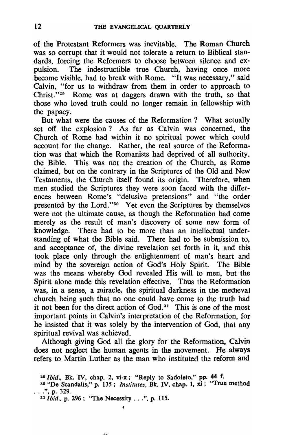of the Protestant Reformers was inevitable. The Roman Church was so corrupt that it would not tolerate a return to Biblical standards, forcing the Reformers to choose between silence and expulsion. The indestructible true Church, having once more become visible, had to break with Rome. "It was necessary," said Calvin, "for us to withdraw from them in order to approach to Christ."<sup>29</sup> Rome was at daggers drawn with the truth, so that those who loved truth could no longer remain in fellowship with the papacy.

But what were the causes of the Reformation? What actually set off the explosion? As far as Calvin was concerned, the Church of Rome had within it no spiritual power which could account for the change. Rather, the real source of the Reformation was that which the Romanists had deprived of all authority. the Bible. This was not the creation of the Church, as Rome claimed, but on the contrary in the Scriptures of the Old and New Testaments, the Church itself found its origin. Therefore, when men studied the Scriptures they were soon faced with the differences between Rome's "delusive pretensions" and "the order presented by the Lord."30 Yet even the Scriptures by themselves were not the ultimate cause, as though the Reformation had come merely as the result of man's discovery of some new form of knowledge. There had to be more than an intellectual understanding of what the Bible said. There had to be submission to, and acceptance of, the divine revelation set forth in it, and this took place only through the enlightenment of man's heart and mind by the sovereign action of God's Holy Spirit. The Bible was the means whereby God revealed His will to men, but the Spirit alone made this revelation effective. Thus the Reformation was, in a sense, a miracle, the spiritual darkness in the medieval church being such that no one could have come to the truth had it not been for the direct action of  $God.^{31}$ . This is one of the most important points in Calvin's interpretation of the Reformation, for he insisted that it was solely by the intervention of God, that any spiritual revival was achieved.

Although giving God all the glory for the Reformation, Calvin does not neglect the human agents in the movement. He always refers to Martin Luther as the man who instituted the reform and

 $\lambda$ 

<sup>29</sup>*Ibid.,* Bk. N. chap. 2. vi-x; "Reply to Sadoleto." pp. 44 f.

<sup>30 &</sup>quot;De Scandalis." p. 135; *Institutes,* Bk. IV. chap. 1. xi; "True method ...", p. 329.

<sup>31</sup> *Ibid., p.* 296; "The Necessity ...", p. 115.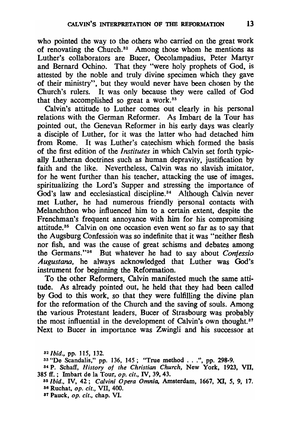who pointed the way to the others who carried on the great work of renovating the Church. 32 Among those whom he mentions as Luther's collaborators are Bucer, Oecolampadius, Peter Martyr and Bernard Ochino. That they "were holy prophets of God, is attested by the noble and truly divine specimen which they gave of their ministry", but they would never have been chosen by the Church's rulers. It was only because they were called of God that they accomplished so great a work. $33$ 

Calvin's attitude to Luther comes out clearly in his personal relations with the German Reformer. As Imbart de la Tour has pointed out. the Genevan Reformer in his early days was clearly a disciple of Luther, for it was the latter who had detached him from Rome. It was Luther's catechism which formed the basis of the first edition of the *Institutes* in which Calvin set forth typically Lutheran doctrines such as human depravity. justification by faith and the like. Nevertheless, Calvin was no slavish imitator, for he went further than his teacher, attacking the use of images. spiritualizing the Lord's Supper and stressing the importance of  $\text{God's law}$  and ecclesiastical discipline.<sup>34</sup> Although Calvin never met Luther, he had numerous friendly personal contacts with Melanchthon who influenced him to a certain extent, despite the Frenchman's frequent annoyance with him for his compromising attitude. 35 Calvin on one occasion even went so far as to say that the Augsburg Confession was so indefinite that it was "neither flesh nor fish. and was the cause of great schisms and debates among the Germans. "36 But whatever he had to say about *Conjessio Augustana,* he always acknowledged that Luther was God's instrument for beginning the Reformation.

To the other Reformers. Calvin manifested much the same attitude. As already pointed out, he held that they had been called by God to this work. so that they were fulfilling the divine plan for the reformation of the Church and the saving of souls. Among the various Protestant leaders. Bucer of Strasbourg was probably the most influential in the development of Calvin's own thought.<sup>87</sup> Next to Bucer in importance was Zwingli and his successor at

*<sup>32/</sup>bid.,* pp. 115, 132.

<sup>33 &</sup>quot;De Scandalis." pp. 136. 145; "True method ... ", pp. 298-9.

<sup>34</sup>P. Schaff, *History of the Christian Church,* New York. 1923, VII. 385 ff.; Imbart de la Tour, *op. cit.,* IV, 39,43.

as/bid., IV. 42; *Calvini Opera Omnia,* Amsterdam, 1667, XI, 5, 9, 17. 36 Ruchat, *op. cit.,* VII, 400.

<sup>87</sup> Pauck, *op. cit.,* chap. VI.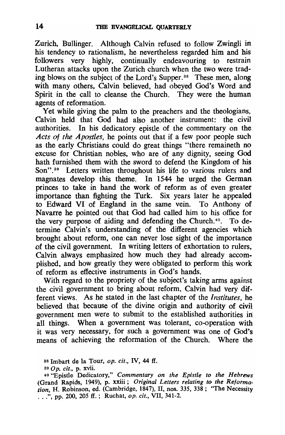Zurich, Bullinger. Although Calvin refused to follow Zwingli in his tendency to rationalism, he nevertheless regarded him and his followers very highly, continually endeavouring to restrain Lutheran attacks upon the Zurich church when the two were trading blows on the subject of the Lord's Supper. 38 These men, along with many others, Calvin believed, had obeyed God's Word and Spirit in the call to cleanse the Church. They were the human agents of reformation.

Yet while giving the palm to the preachers and the theologians, Calvin held that God had also another instrument: the civil authorities. In his dedicatory epistle of the commentary on the *Acts* of *the Apostles,* he points out that if a few poor people such as the early Christians could do great things "there remaineth no excuse for Christian nobles, who are of any dignity, seeing God hath furnished them with the sword to defend the Kingdom of his Son".<sup>39</sup> Letters written throughout his life to various rulers and magnates develop this theme. In 1544 he urged the German princes to take in hand the work of reform as of even greater importance than fighting the Turk. Six years later he appealed to Edward VI of England in the same vein. To Anthony of Navarre he pointed out that God had called him to his office for the very purpose of aiding and defending the Church.<sup> $40$ </sup>. To determine Calvin's understanding of the different agencies which brought about reform, one can never lose sight of the importance of the civil government. In writing letters of exhortation to rulers, Calvin always emphasized how much they had already accomplished, and how greatly they were obligated to perform this work of reform as effective instruments in God's hands.

With regard to the propriety of the subject's taking arms against the civil government to bring about reform, Calvin had very different views. As he stated in the last chapter of the *Institutes,* he believed that because of the divine origin and authority of civil government men were to submit to the established authorities in all things. When a government was tolerant, co-operation with it was very necessary, for such a government was one of God's means of achieving the reformation of the Church. Where the

<sup>38</sup> Imbart de la Tour, *op. cit.,* IV, 44 if.

<sup>39</sup> *0* p. *cit.,* p. xvii.

<sup>40 &</sup>quot;Epistle Dedicatory," *Commentary on the Epistle to the Hebrews*  (Grand Rapids, 1949), p. xxiii; *Original Letters relating to the Reformation,* H. Robinson, ed. (Cambridge, 1847), 11, nos. 335, 338; "The Necessity ...", pp. 200, 205 ff.; Ruchat, *op. cit.*, VII, 341-2.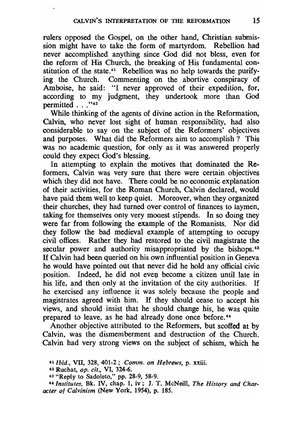rulers opposed the Gospel. on the other hand. Christian submission might have to take the form of martyrdom. Rebellion had never accomplished anything since God did not bless. even for the reform of His Church. the breaking of His fundamental constitution of the state.<sup>41</sup> Rebellion was no help towards the purifying the Church. Commenting on the abortive conspiracy of Amboise. he said: "I never approved of their expedition. for. according to my judgment. they undertook more than God permitted . . . "42

While thinking of the agents of divine action in the Reformation. Calvin, who never lost sight of human responsibility. had also considerable to say on the subject of the Reformers' objectives and purposes. What did the Reformers aim to accomplish? This was no academic question, for only as it was answered properly could they expect God's blessing.

In attempting to explain the motives that dominated the Reformers. Calvin was very sure that there were certain objectives which they did not have. There could be no economic explanation of their activities. for the Roman Church. Calvin declared. would have paid them well to keep quiet. Moreover, when they organized their churches. they had turned OVer control of finances to laymen, taking for themselves only very mooest stipends. In so doing they were far from following the example of the Romanists. Nor did they follow the bad medieval example of attempting to occupy civil offices. Rather they had restored to the civil magistrate the secular power and authority misappropriated by the bishops.<sup>43</sup> If Calvin had been queried on his own influential position in Geneva he would have pointed out that never did he hold any official civic position. Indeed, he did not even become a citizen until late in his life. and then only at the invitation of the city authorities. If he exercised any influence it was solely because the people and magistrates agreed with him. If they should cease to accept his views, and should insist that he should change his, he was quite prepared to leave, as he had already done once before.<sup>44</sup>

Another objective attributed to the Reformers. but scoffed at by Calvin. was the dismemberment and destruction of the Church. Calvin had very strong views on the subject of schism. which he

<sup>41</sup>*Ibid .•* VII. 328. 401-2; *Comm. on Hebrews,* p. xxiii.

<sup>42</sup> Ruchat, op. *cit.,* VI, 324-6.

<sup>~3</sup> "Reply to Sadoleto," pp. 28-9, 58-9.

<sup>44</sup> *Institutes,* Bk. IV, chap. 1, iv; J. T. McNeill, *The History and Character of Calvinism* (New York, 1954). p. 185.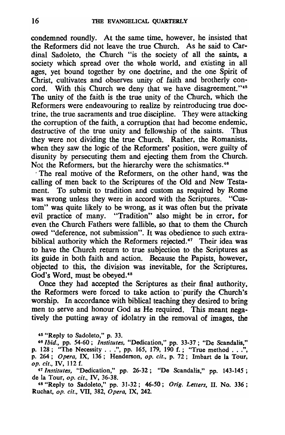condemned roundly. At the same time, however, he insisted that the Reformers did not leave the true Church. As he said to Cardinal Sadoleto, the Church "is the society of all the saints, a society which spread over the whole world, and existing in all ages, yet bound together by one doctrine, and the one Spirit of Christ, cultivates and observes unity of faith and brotherly concord. With this Church we deny that we have disagreement."<sup>45</sup> The unity of the faith is the true unity of the Church, which the Reformers were endeavouring to realize by reintroducing true doctrine, the true sacraments and true discipline. They were attacking the corruption of the faith, a corruption that had become endemic, destructive of the true unity and fellowship of the saints. Thus they were not dividing the true Church. Rather, the Romanists, when they saw the logic of the Reformers' position, were guilty of disunity by persecuting them and ejecting them from the Church. Not the Reformers, but the hierarchy were the schismatics.<sup>46</sup>

. The real motive of the Reformers, on the other hand, was the calling of men back to the Scriptures of the Old and New Testament. To submit to tradition and custom as required by Rome was wrong unless they were in accord with the Scriptures. "Custom" was quite likely to be wrong, as it was often but the private evil practice of many. "Tradition" also might be in error, for even the Church Fathers were fallible, so that to them the Church owed "deference, not submission". It was obedience to such extrabiblical authority which the Reformers rejected.<sup>47</sup> Their idea was to have the Church return to true subjection to the Scriptures as its guide in both faith and action. Because the Papists, however, objected to this, the division was inevitable, for the Scriptures, God's Word, must be obeved.<sup>48</sup>

Once they had accepted the Scriptures as their final authority, the Reformers were forced to take action to 'purify the Church's worship. In accordance with biblical teaching they desired to bring men to serve and honour God as He required. This meant negatively the putting away of idolatry in the removal of images, the

45 "Reply to Sadoleto," p. 33.

*46Ibid.,* pp. 54-60; *Institutes,* "Dedication," pp. 33-37; "De Scandalis," p. 128; "The Necessity ... ", pp. 165, 179, 190 f.; "True method ... ", p. 264; *Opera,* IX, 136; Henderson, *op. cit.,* p. 72; Imbart de la Tour, *op. cit.,* IV, 112 f.

<sup>47</sup>*Institutes,* "Dedication," pp. 26-32; "De Scandalis," pp. 143-145; de la Tour, op. cif., IV, 36-38.

48 "Reply to Sadoleto," pp. 31-32; 46-50; *Orig. Letters,* 11. No. 336; Ruchat, *op. cit.*, VII, 382,  $\hat{O}$ *pera*, IX, 242.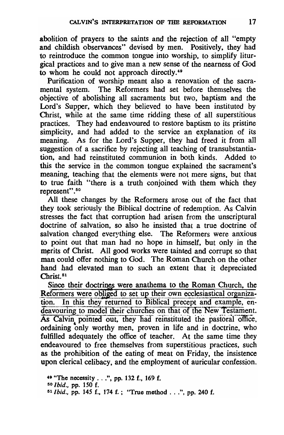abolition of prayers to the saints and the rejection of all "empty and childish observances" devised by men. Positively, they had to reintroduce the common tongue into worship. to simplify liturgical practices and to give man a new sense of the nearness of God to whom he could not approach directly.49

Purification of worship meant also a renovation of the sacramental system. The Reformers had set before themselves the objective of abolishing all sacraments but two. baptism and the Lord's Supper, which they believed to have been instituted by Christ. while at the same time ridding these of all superstitious practices. They had endeavoured to restore baptism to its pristine simplicity, and had added to the service an explanation of its meaning. As for the Lord's Supper. they had freed it from all suggestion of a sacrifice by rejecting all teaching of transubstantiation. and had reinstituted communion in both kinds. Added to this the service in the common tongue explained the sacrament's meaning. teaching that the elements were not mere signs. but that to true faith "there is a truth conjoined with them which they represent".50

All these changes by the Reformers arose out of the fact that they took seriously the Biblical doctrine of redemption. As Calvin stresses the fact that corruption had arisen from the unscriptural doctrine of salvation. so also he insisted that a true doctrine of salvation changed everything else. The Reformers were anxious to point out that man had no hope in himself. but only in the merits of Christ. All good works were tainted and corrupt so that man could offer nothing to God. The Roman Church on the other hand had elevated man to such an extent that it depreciated Christ<sup>51</sup>

Since their doctrines were anathema to the Roman Church, the Reformers were obliged to set up their own ecclesiastical organization. In this they returned to Biblical precept and example, en-<br>deavouring to model their churches on that of the New Testament. As Calvin pointed out, they had reinstituted the pastoral office, ordaining only worthy men, proven in life and in doctrine, who fulfilled adequately the office of teacher. At the same time they endeavoured to free themselves from superstitious practices. such as the prohibition of the eating of meat on Friday, the insistence upon clerical celibacy. and the employment of auricular confession.

49 "The necessity ... ", pp. 132 f., 169 f. so *Ibid.,* pp. 150 f. SI *Ibid.,* pp. 145 f., 174 f.; "True method ... ", pp. 240 f.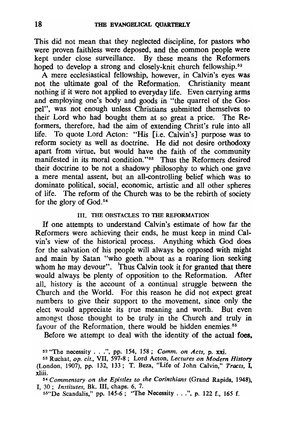This did not mean that they neglected discipline. for pastors who were proven faithless were deposed. and the common people were kept under close surveillance. By these means the Reformers hoped to develop a strong and closely-knit church fellowship.<sup>52</sup>

A mere ecclesiastical fellowship. however. in Calvin's eyes was not the ultimate goal of the Reformation. Christianity meant nothing if it were not applied to everyday life. Even carrying arms and employing one's body and goods in "the quarrel of the Gospel". was not enough unless Christians submitted themselves to their Lord who had bought them at so great a price. The Reformers. therefore. had the aim of extending Christ's rule into all life. To quote Lord Acton: "His [i.e. Calvin's] purpose was to reform society as well as doctrine. He did not desire orthodoxy apart from virtue. but would have the faith of the community manifested in its moral condition."<sup>53</sup> Thus the Reformers desired their doctrine to be not a shadowy philosophy to which one gave a mere mental assent. but an all-controlling belief which was to dominate political. social. economic. artistic and all other spheres of life. The reform of the Church was to be the rebirth of society for the glory of God.<sup>54</sup>

#### Ill. THE OBSTACLES TO THE REFORMATION

If one attempts to understand Calvin's estimate of how far the Reformers were achieving their ends. he must keep in mind Calvin's view of the historical process. Anything which God does for the salvation of his people will always be opposed with might and main by Satan "who goeth about as a roaring lion seeking whom he may devour". Thus Calvin took it for granted that there would always be plenty of opposition to the Reformation. After all. history is the account of a continual struggle between the Church and the World. For this reason he did not expect great numbers to give their support to the movement. since only the elect would appreciate its true meaning and worth. But even amongst those thought to be truly in the Church and truly in favour of the Reformation, there would be hidden enemies.<sup>55</sup>

Before we attempt to deal with the identity of the actual foes.

xliii. *54 Commentary on the Epistles to the Corinthians* (Grand Rapids, 1948), I, 30; *Institutes,* Bk. Ill, chaps. 6, 7.

55"De Scandalis," pp. 145-6; "The Necessity ... ", p. 122 f., 165 f.

<sup>52 &</sup>quot;The necessity ... ", pp. 154, 158; *Comm. on Acts,* p. xxi.

<sup>53</sup> Ruchat, *op. cit.,* VII, 597-8; Lord Acton, *Lectures on Modern History*  (London, 1907), pp. 132, 133; T. Beza, "Life of John CaIvin," *Tracts,* I,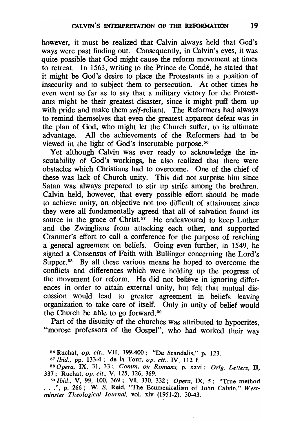however, it must be realized that Calvin always held that God's ways were past finding out. Consequently. in Calvin's eyes, it was quite possible that God might cause the reform movement at times to retreat. In 1563, writing to the Prince de Condé, he stated that it might be God's desire to place the Protestants in a position of insecurity and to subject them to persecution. At other times he even went so far as to say that a military victory for the Protestants might be their greatest disaster. since it might puff them up with pride and make them *self-reliant.* The Reformers had always to remind themselves that even the greatest apparent defeat was in the plan of God, who might let the Church suffer, to its ultimate advantage. All the achievements of the Reformers had to be viewed in the light of God's inscrutable purpose.<sup>56</sup>

Yet although Calvin was ever ready to acknowledge the inscutability of God's workings. he also realized that there were obstacles which Christians had to overcome. One of the chief of these was lack of Church unity. This did not surprise him since Satan was always prepared to stir up strife among the brethren. Calvin held, however, that every possible effort should be made to achieve unity. an objective not too difficult of attainment since they were all fundamentally agreed that all of salvation found its source in the grace of Christ.<sup>57</sup> He endeavoured to keep Luther and the Zwinglians from attacking each other. and supported Cranmer's effort to call a conference for the purpose of reaching a general agreement on beliefs. Going even further. in 1549, he signed a Consensus of Faith with Bullinger concerning the Lord's Supper.<sup>58</sup> By all these various means he hoped to overcome the conflicts and differences which were holding up the progress of the movement for reform. He did not believe in ignoring differences in order to attain external unity, but felt that mutual discussion would lead to greater agreement in beliefs leaving organization to take care of itself. Only in unity of belief would the Church be able to go forward. <sup>59</sup>

Part of the disunity of the churches was attributed to hypocrites. "morose professors of the Gospel", who had worked their way

<sup>56</sup> Ruchat, *op. cit.,* VII, 399-400; "De Scandalis," p. 123.

*<sup>57</sup> Ibid.,* pp. 133-4; de la Tour, *op. cit.,* IV, 112 f.

<sup>58</sup>*Opera,* IX, 31, 33; *Comm. on Romans,* p. xxvi; *Orig. Letters, 11,*  337; Ruchat, *op. cit.,* V, 125, 126, 369.

<sup>59</sup>*Ibid.,* V, 99, 100, 369; VI, 330, 332; *Opera,* IX, 5; "True method ... ", p. 266; W. S. Reid, "The Ecumenicalism of John Calvin," *West-minster Theological Journal,* vol. xiv (1951-2), 30-43.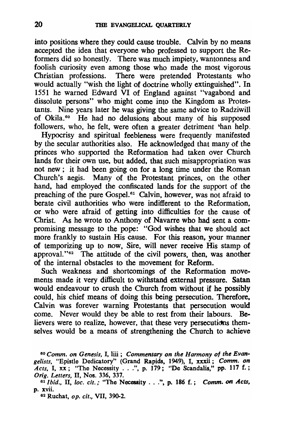into positions where they could cause trouble. Calvin by no means accepted the idea that everyone who professed to support the Reformers did so honestly. There was much impiety, wantonness and foolish curiosity even among those who made the most vigorous Christian professions. There were pretended Protestants who would actually "wish the light of doctrine wholly extinguished". In 1551 he warned Edward VI of England against "vagabond and dissolute persons" who might come into the Kingdom as Protestants. Nine years later he was giving the same advice to Radziwill of Okila. 60 He had no delusions about many of his supposed followers, who, he felt, were often a greater detriment 'han help.

Hypocrisy and spiritual feebleness were frequently manifested by the secular authorities also. He acknowledged that many of the princes who supported the Reformation had taken over Church lands for their own use, but added, that such misappropriation was not new; it had been going on for a long time under the Roman Church's aegis. Many of the Protestant princes, on the other hand, had employed the confiscated lands for the support of the preaching of the pure Gospel.<sup>61</sup> Calvin, however, was not afraid to berate civil authorities who were indifferent to the Reformation, or who were afraid of getting into difficulties for the cause of Christ. As he wrote to Anthony of Navarre who had' sent a compromising message to the pope: "God wishes that we should act more frankly to sustain His cause. For this reason, your manner of temporizing up to now. Sire, will never receive His stamp of approval."<sup>62</sup> The attitude of the civil powers, then, was another of the internal obstacles to the movement for Reform.

Such weakness and shortcomings of the Reformation movements made it very difficult to withstand external pressure. Satan would endeavour to crush the Church from without if he possibly could, his chief means of doing this being persecution. Therefore. Calvin was forever warning Protestants that persecution would come. Never would they be able to rest from their labours. Believers were to realize, however, that these very persecutions themselves would be a means of strengthening the Church to achieve

62 Ruchat, *op. cit.,* VII, 390-2.

*<sup>60</sup> Comm. on Genesis,* I, till; *Commentary on the Harmony of the Evangelists, "Epistle Dedicatory"* (Grand Rapids, 1949), I, xxxii; *Comm. on Acts*, I, xx; "The Necessity ...", p. 179; "De Scandalis," pp. 117 f.; *Orig. Letters,* 11, Nos. 336, 337.

<sup>61</sup>*Ibid.,* 11, *loc. cit.:* "The Necessity ... ". p. 186 f.; *Comm.* 011 *Acts.*  p. xvii.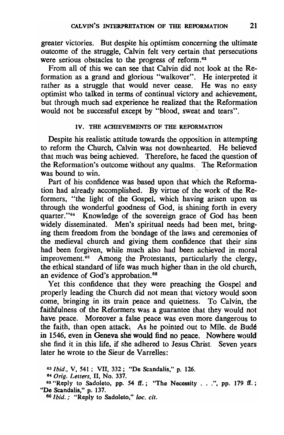greater victories. But despite his optimism concerning the ultimate outcome of the struggle. Calvin felt very certain that persecutions were serious obstacles to the progress of reform.<sup>63</sup>

From all of this we can see that Calvin did not look at the Reformation as a grand and glorious "walkover". He interpreted it rather as a struggle that would never cease. He was no easy optimist who talked in terms of continual victory and achievement. but through much sad experience he realized that the Reformation would not be successful except by "blood. sweat and tears".

### IV. THE ACHIEVEMENTS OF THE REFORMATION

Despite his realistic attitude towards the opposition in attempting to reform the Church. Calvin was not downhearted. He believed that much was being achieved. Therefore. he faced the question of the Reformation's outcome without any qualms. The Reformation was bound to win.

Part of his confidence was based upon that which the Reformation had already accomplished. By virtue of the work of the Reformers. "the light of the Gospel, which having arisen upon us through the wonderful goodness of God. is shining forth in every quarter."<sup>64</sup> Knowledge of the sovereign grace of God has been widely disseminated. Men's spiritual needs had been met. bringing them freedom from the bondage of the laws and ceremonies of the medieval church and giving them confidence that their sins had been forgiven. while much also had been achieved in moral improvement.<sup>65</sup> Among the Protestants, particularly the clergy, the ethical standard of life was much higher than in the old church. an evidence of God's approbation.<sup>66</sup>

Yet this confidence that they were preaching the Gospel and properly leading the Church did not mean that victory would soon come. bringing in its train peace and quietness. To Calvin. the faithfulness of the Reformers was a guarantee that they would not have peace. Moreover a false peace was even more dangerous to the faith, than open attack\ As he pointed out to MIle. de Bud6 in 1546, even in Geneva she would find no peace. Nowhere would she find it in this life, if she adhered to Jesus Christ. Seven years later he wrote to the Sieur de Varrelles:

*<sup>63</sup> Ibid.,* V, 541; VII, 332; "De Scandalis," p. 126.

<sup>84</sup>*Orig. Letters,* 11, No. 337.

<sup>&</sup>lt;sup>65</sup> "Reply to Sadoleto, pp. 54 ff.; "The Necessity . . .", pp. 179 ff.; "De Scandalis," p. 137.

<sup>66</sup> *Ibid ...* "Reply to Sadoleto," *loc. cit.*